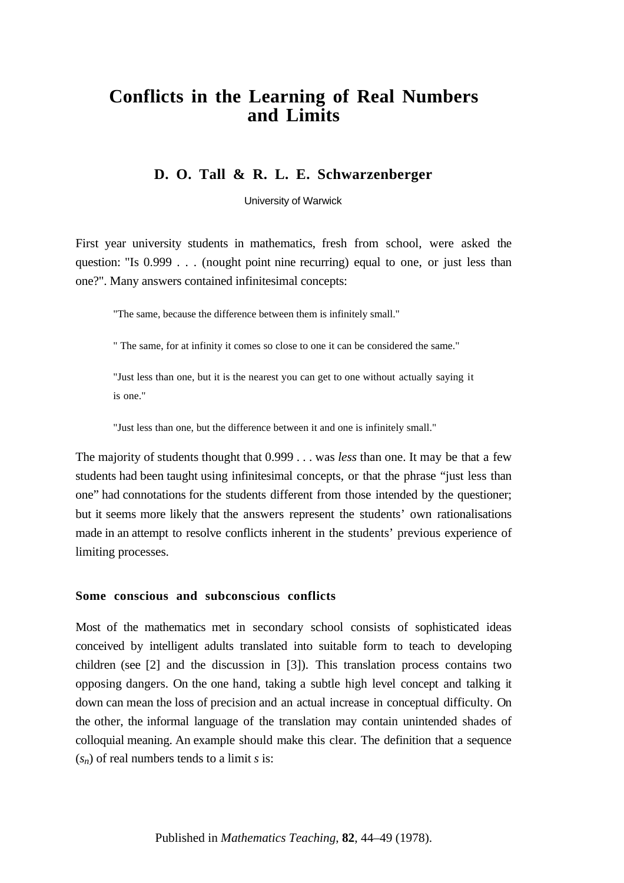# **Conflicts in the Learning of Real Numbers and Limits**

# **D. O. Tall & R. L. E. Schwarzenberger**

University of Warwick

First year university students in mathematics, fresh from school, were asked the question: "Is 0.999 . . . (nought point nine recurring) equal to one, or just less than one?". Many answers contained infinitesimal concepts:

"The same, because the difference between them is infinitely small."

" The same, for at infinity it comes so close to one it can be considered the same."

"Just less than one, but it is the nearest you can get to one without actually saying it is one."

"Just less than one, but the difference between it and one is infinitely small."

The majority of students thought that 0.999 . . . was *less* than one. It may be that a few students had been taught using infinitesimal concepts, or that the phrase "just less than one" had connotations for the students different from those intended by the questioner; but it seems more likely that the answers represent the students' own rationalisations made in an attempt to resolve conflicts inherent in the students' previous experience of limiting processes.

## **Some conscious and subconscious conflicts**

Most of the mathematics met in secondary school consists of sophisticated ideas conceived by intelligent adults translated into suitable form to teach to developing children (see [2] and the discussion in [3]). This translation process contains two opposing dangers. On the one hand, taking a subtle high level concept and talking it down can mean the loss of precision and an actual increase in conceptual difficulty. On the other, the informal language of the translation may contain unintended shades of colloquial meaning. An example should make this clear. The definition that a sequence  $(s_n)$  of real numbers tends to a limit *s* is: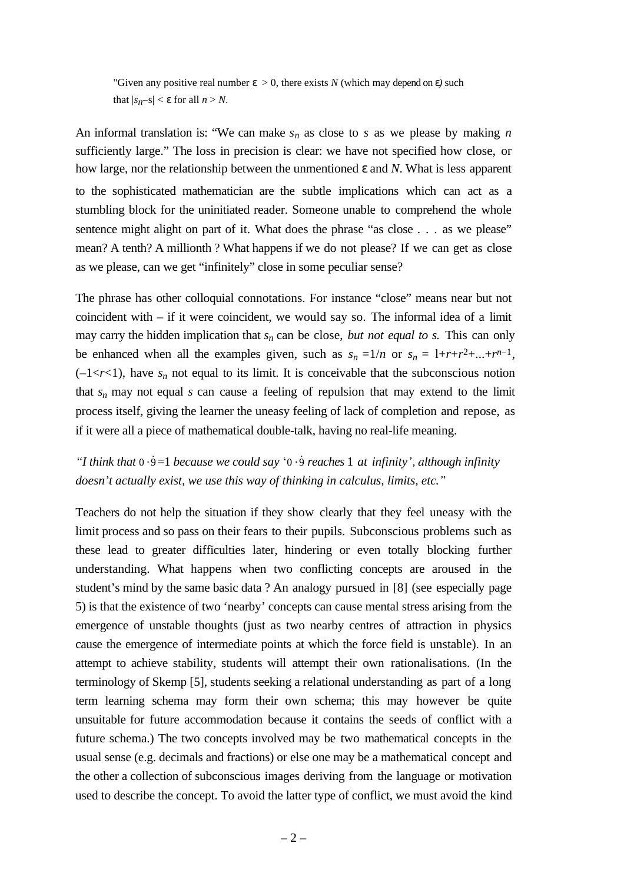"Given any positive real number  $\varepsilon > 0$ , there exists N (which may depend on  $\varepsilon$ ) such that  $|s_n-s| < \varepsilon$  for all  $n > N$ .

An informal translation is: "We can make  $s_n$  as close to  $s$  as we please by making  $n$ sufficiently large." The loss in precision is clear: we have not specified how close, or how large, nor the relationship between the unmentioned ε and *N*. What is less apparent to the sophisticated mathematician are the subtle implications which can act as a stumbling block for the uninitiated reader. Someone unable to comprehend the whole sentence might alight on part of it. What does the phrase "as close . . . as we please" mean? A tenth? A millionth ? What happens if we do not please? If we can get as close as we please, can we get "infinitely" close in some peculiar sense?

The phrase has other colloquial connotations. For instance "close" means near but not coincident with – if it were coincident, we would say so. The informal idea of a limit may carry the hidden implication that  $s_n$  can be close, *but not equal to s*. This can only be enhanced when all the examples given, such as  $s_n = 1/n$  or  $s_n = 1+r+r^2+\dots+r^{n-1}$ ,  $(-1 < r < 1)$ , have  $s_n$  not equal to its limit. It is conceivable that the subconscious notion that  $s_n$  may not equal  $s$  can cause a feeling of repulsion that may extend to the limit process itself, giving the learner the uneasy feeling of lack of completion and repose, as if it were all a piece of mathematical double-talk, having no real-life meaning.

*"I think that* 0 ⋅ ˙9=1 *because we could say* '0 ⋅ ˙9 *reaches* 1 *at infinity ', although infinity doesn't actually exist, we use this way of thinking in calculus, limits, etc."*

Teachers do not help the situation if they show clearly that they feel uneasy with the limit process and so pass on their fears to their pupils. Subconscious problems such as these lead to greater difficulties later, hindering or even totally blocking further understanding. What happens when two conflicting concepts are aroused in the student's mind by the same basic data ? An analogy pursued in [8] (see especially page 5) is that the existence of two 'nearby' concepts can cause mental stress arising from the emergence of unstable thoughts (just as two nearby centres of attraction in physics cause the emergence of intermediate points at which the force field is unstable). In an attempt to achieve stability, students will attempt their own rationalisations. (In the terminology of Skemp [5], students seeking a relational understanding as part of a long term learning schema may form their own schema; this may however be quite unsuitable for future accommodation because it contains the seeds of conflict with a future schema.) The two concepts involved may be two mathematical concepts in the usual sense (e.g. decimals and fractions) or else one may be a mathematical concept and the other a collection of subconscious images deriving from the language or motivation used to describe the concept. To avoid the latter type of conflict, we must avoid the kind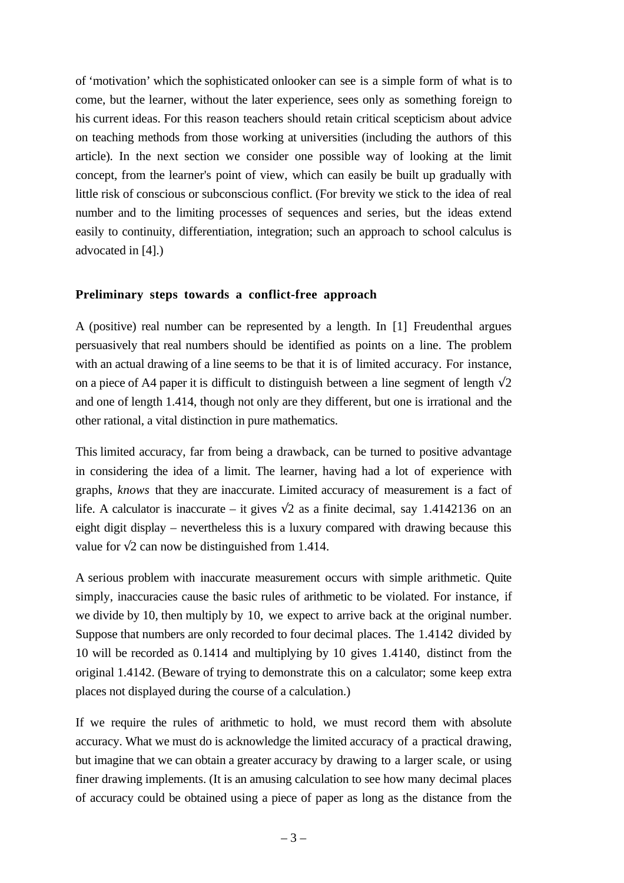of 'motivation' which the sophisticated onlooker can see is a simple form of what is to come, but the learner, without the later experience, sees only as something foreign to his current ideas. For this reason teachers should retain critical scepticism about advice on teaching methods from those working at universities (including the authors of this article). In the next section we consider one possible way of looking at the limit concept, from the learner's point of view, which can easily be built up gradually with little risk of conscious or subconscious conflict. (For brevity we stick to the idea of real number and to the limiting processes of sequences and series, but the ideas extend easily to continuity, differentiation, integration; such an approach to school calculus is advocated in [4].)

## **Preliminary steps towards a conflict-free approach**

A (positive) real number can be represented by a length. In [1] Freudenthal argues persuasively that real numbers should be identified as points on a line. The problem with an actual drawing of a line seems to be that it is of limited accuracy. For instance, on a piece of A4 paper it is difficult to distinguish between a line segment of length  $\sqrt{2}$ and one of length 1.414, though not only are they different, but one is irrational and the other rational, a vital distinction in pure mathematics.

This limited accuracy, far from being a drawback, can be turned to positive advantage in considering the idea of a limit. The learner, having had a lot of experience with graphs, *knows* that they are inaccurate. Limited accuracy of measurement is a fact of life. A calculator is inaccurate – it gives  $\sqrt{2}$  as a finite decimal, say 1.4142136 on an eight digit display – nevertheless this is a luxury compared with drawing because this value for  $\sqrt{2}$  can now be distinguished from 1.414.

A serious problem with inaccurate measurement occurs with simple arithmetic. Quite simply, inaccuracies cause the basic rules of arithmetic to be violated. For instance, if we divide by 10, then multiply by 10, we expect to arrive back at the original number. Suppose that numbers are only recorded to four decimal places. The 1.4142 divided by 10 will be recorded as 0.1414 and multiplying by 10 gives 1.4140, distinct from the original 1.4142. (Beware of trying to demonstrate this on a calculator; some keep extra places not displayed during the course of a calculation.)

If we require the rules of arithmetic to hold, we must record them with absolute accuracy. What we must do is acknowledge the limited accuracy of a practical drawing, but imagine that we can obtain a greater accuracy by drawing to a larger scale, or using finer drawing implements. (It is an amusing calculation to see how many decimal places of accuracy could be obtained using a piece of paper as long as the distance from the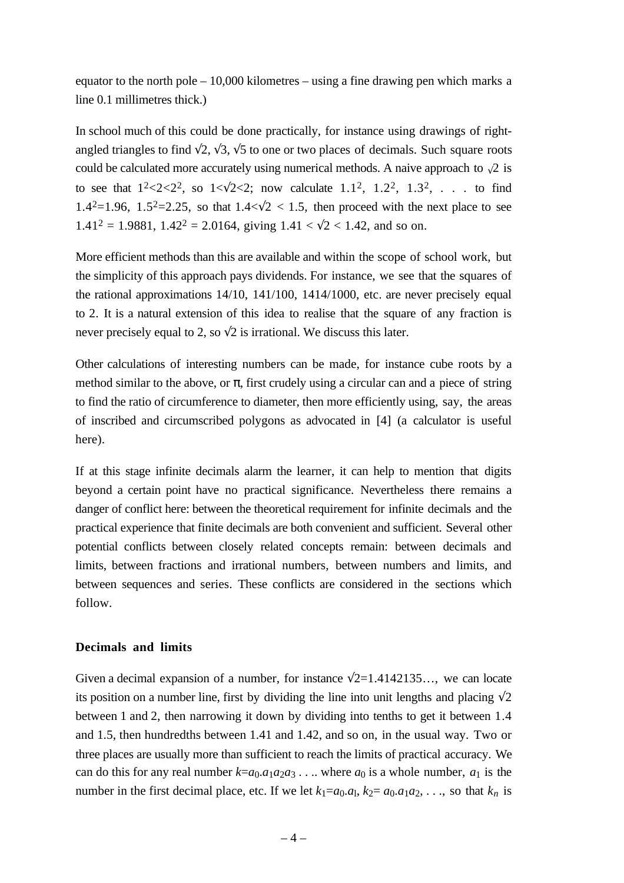equator to the north pole – 10,000 kilometres – using a fine drawing pen which marks a line 0.1 millimetres thick.)

In school much of this could be done practically, for instance using drawings of rightangled triangles to find  $\sqrt{2}$ ,  $\sqrt{3}$ ,  $\sqrt{5}$  to one or two places of decimals. Such square roots could be calculated more accurately using numerical methods. A naive approach to  $\sqrt{2}$  is to see that  $1^2 < 2 < 2^2$ , so  $1 < \sqrt{2} < 2$ ; now calculate 1.1<sup>2</sup>, 1.2<sup>2</sup>, 1.3<sup>2</sup>, ... to find 1.4<sup>2</sup>=1.96, 1.5<sup>2</sup>=2.25, so that  $1.4 < \sqrt{2} < 1.5$ , then proceed with the next place to see  $1.41<sup>2</sup> = 1.9881$ ,  $1.42<sup>2</sup> = 2.0164$ , giving  $1.41 < \sqrt{2} < 1.42$ , and so on.

More efficient methods than this are available and within the scope of school work, but the simplicity of this approach pays dividends. For instance, we see that the squares of the rational approximations 14/10, 141/100, 1414/1000, etc. are never precisely equal to 2. It is a natural extension of this idea to realise that the square of any fraction is never precisely equal to 2, so  $\sqrt{2}$  is irrational. We discuss this later.

Other calculations of interesting numbers can be made, for instance cube roots by a method similar to the above, or  $\pi$ , first crudely using a circular can and a piece of string to find the ratio of circumference to diameter, then more efficiently using, say, the areas of inscribed and circumscribed polygons as advocated in [4] (a calculator is useful here).

If at this stage infinite decimals alarm the learner, it can help to mention that digits beyond a certain point have no practical significance. Nevertheless there remains a danger of conflict here: between the theoretical requirement for infinite decimals and the practical experience that finite decimals are both convenient and sufficient. Several other potential conflicts between closely related concepts remain: between decimals and limits, between fractions and irrational numbers, between numbers and limits, and between sequences and series. These conflicts are considered in the sections which follow.

## **Decimals and limits**

Given a decimal expansion of a number, for instance  $\sqrt{2}$ =1.4142135..., we can locate its position on a number line, first by dividing the line into unit lengths and placing  $\sqrt{2}$ between 1 and 2, then narrowing it down by dividing into tenths to get it between 1.4 and 1.5, then hundredths between 1.41 and 1.42, and so on, in the usual way. Two or three places are usually more than sufficient to reach the limits of practical accuracy. We can do this for any real number  $k=a_0.a_1a_2a_3...$  where  $a_0$  is a whole number,  $a_1$  is the number in the first decimal place, etc. If we let  $k_1=a_0.a_1$ ,  $k_2=a_0.a_1a_2$ , ..., so that  $k_n$  is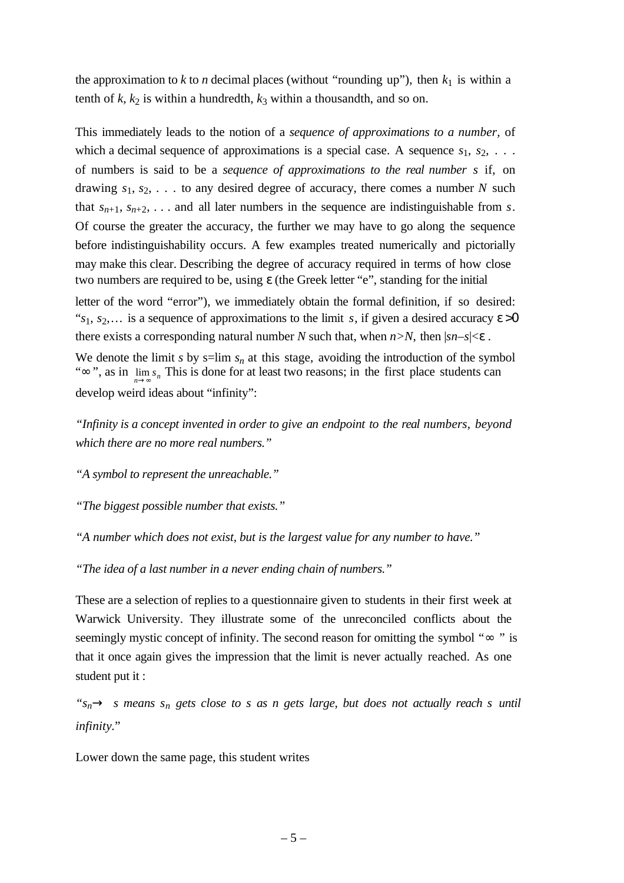the approximation to  $k$  to  $n$  decimal places (without "rounding up"), then  $k_1$  is within a tenth of  $k$ ,  $k_2$  is within a hundredth,  $k_3$  within a thousandth, and so on.

This immediately leads to the notion of a *sequence of approximations to a number,* of which a decimal sequence of approximations is a special case. A sequence  $s_1, s_2, \ldots$ of numbers is said to be a *sequence of approximations to the real number s* if, on drawing  $s_1, s_2, \ldots$  to any desired degree of accuracy, there comes a number *N* such that  $s_{n+1}, s_{n+2}, \ldots$  and all later numbers in the sequence are indistinguishable from *s*. Of course the greater the accuracy, the further we may have to go along the sequence before indistinguishability occurs. A few examples treated numerically and pictorially may make this clear. Describing the degree of accuracy required in terms of how close two numbers are required to be, using ε (the Greek letter "e", standing for the initial

letter of the word "error"), we immediately obtain the formal definition, if so desired: " $s_1, s_2, \ldots$  is a sequence of approximations to the limit *s*, if given a desired accuracy  $\varepsilon > 0$ there exists a corresponding natural number *N* such that, when  $n > N$ , then  $|sn-s| < \varepsilon$ .

" $\infty$ ", as in  $\lim_{n\to\infty} s_n$  This is done for at least two reasons; in the first place students can We denote the limit *s* by s=lim  $s_n$  at this stage, avoiding the introduction of the symbol develop weird ideas about "infinity":

*"Infinity is a concept invented in order to give an endpoint to the real numbers, beyond which there are no more real numbers."*

*"A symbol to represent the unreachable."*

*"The biggest possible number that exists."*

*"A number which does not exist, but is the largest value for any number to have."*

*"The idea of a last number in a never ending chain of numbers."*

These are a selection of replies to a questionnaire given to students in their first week at Warwick University. They illustrate some of the unreconciled conflicts about the seemingly mystic concept of infinity. The second reason for omitting the symbol "∞ " is that it once again gives the impression that the limit is never actually reached. As one student put it :

*"sn*→ *s means s<sup>n</sup> gets close to s as n gets large, but does not actually reach s until infinity.*"

Lower down the same page, this student writes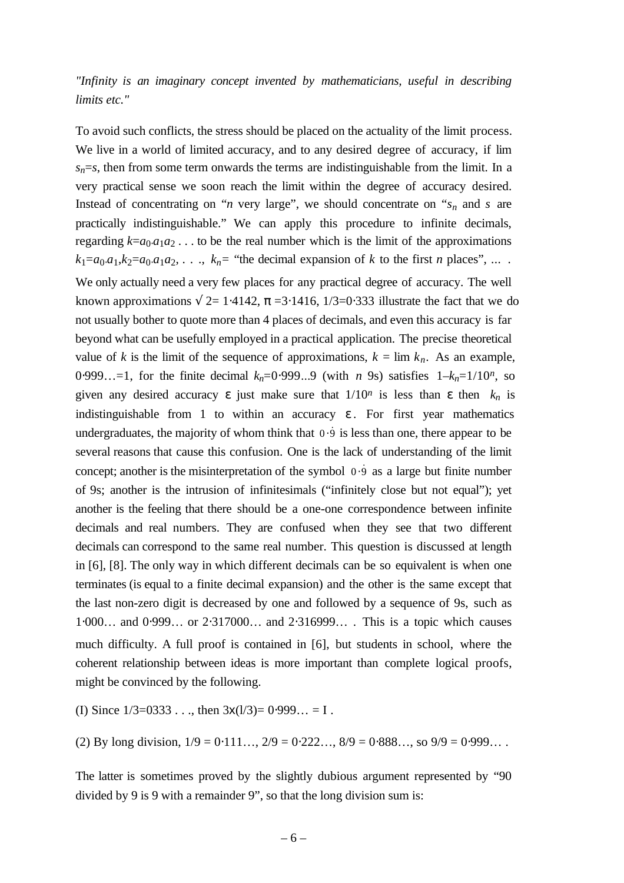# *"Infinity is an imaginary concept invented by mathematicians, useful in describing limits etc."*

To avoid such conflicts, the stress should be placed on the actuality of the limit process. We live in a world of limited accuracy, and to any desired degree of accuracy, if lim  $s_n = s$ , then from some term onwards the terms are indistinguishable from the limit. In a very practical sense we soon reach the limit within the degree of accuracy desired. Instead of concentrating on "*n* very large", we should concentrate on " $s_n$  and *s* are practically indistinguishable." We can apply this procedure to infinite decimals, regarding  $k=a_0.a_1a_2...$  to be the real number which is the limit of the approximations  $k_1=a_0 \cdot a_1 \cdot k_2=a_0 \cdot a_1 a_2, \ldots, k_n$  = "the decimal expansion of *k* to the first *n* places", ... We only actually need a very few places for any practical degree of accuracy. The well known approximations  $\sqrt{2}$ = 1⋅4142,  $\pi$  =3⋅1416, 1/3=0⋅333 illustrate the fact that we do not usually bother to quote more than 4 places of decimals, and even this accuracy is far beyond what can be usefully employed in a practical application. The precise theoretical value of *k* is the limit of the sequence of approximations,  $k = \lim k_n$ . As an example, 0⋅999…=1, for the finite decimal *kn*=0⋅999...9 (with *n* 9s) satisfies 1–*kn*=1/10*n*, so given any desired accuracy  $\varepsilon$  just make sure that  $1/10^n$  is less than  $\varepsilon$  then  $k_n$  is indistinguishable from 1 to within an accuracy  $\varepsilon$ . For first year mathematics undergraduates, the majority of whom think that 0.9 is less than one, there appear to be several reasons that cause this confusion. One is the lack of understanding of the limit concept; another is the misinterpretation of the symbol  $0.\dot{9}$  as a large but finite number of 9s; another is the intrusion of infinitesimals ("infinitely close but not equal"); yet another is the feeling that there should be a one-one correspondence between infinite decimals and real numbers. They are confused when they see that two different decimals can correspond to the same real number. This question is discussed at length in [6], [8]. The only way in which different decimals can be so equivalent is when one terminates (is equal to a finite decimal expansion) and the other is the same except that the last non-zero digit is decreased by one and followed by a sequence of 9s, such as 1⋅000… and 0⋅999… or 2⋅317000… and 2⋅316999… . This is a topic which causes much difficulty. A full proof is contained in [6], but students in school, where the coherent relationship between ideas is more important than complete logical proofs, might be convinced by the following.

(I) Since  $1/3=0333...$ , then  $3x(1/3)=0.999... = I$ .

(2) By long division,  $1/9 = 0.111...$ ,  $2/9 = 0.222...$ ,  $8/9 = 0.888...$ , so  $9/9 = 0.999...$ 

The latter is sometimes proved by the slightly dubious argument represented by "90 divided by 9 is 9 with a remainder 9", so that the long division sum is: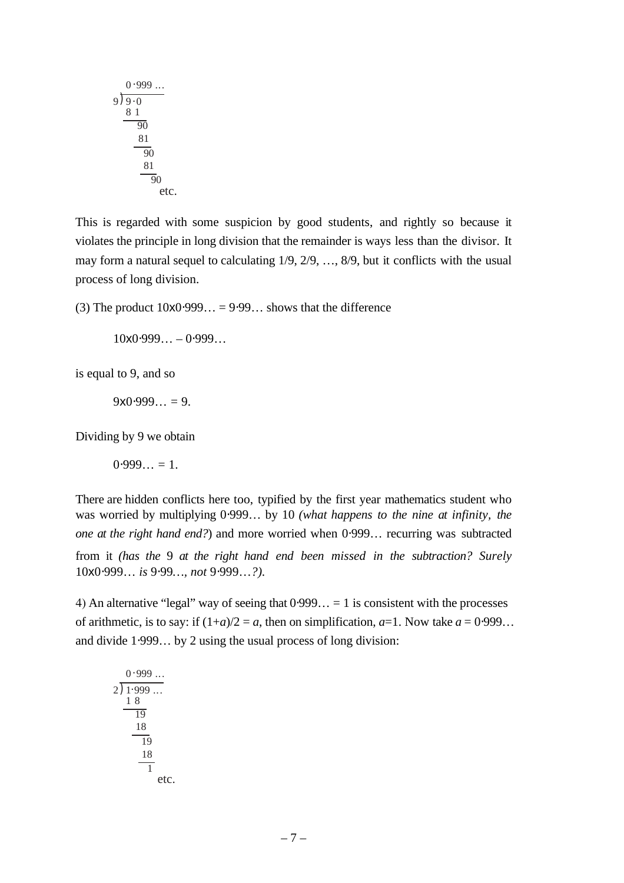$$
\begin{array}{r}\n0.999... \\
9)9.0 \\
81 \\
\hline\n90 \\
81 \\
\hline\n90 \\
81 \\
\hline\n90 \\
\hline\n90 \\
\text{etc.}\n\end{array}
$$

This is regarded with some suspicion by good students, and rightly so because it violates the principle in long division that the remainder is ways less than the divisor. It may form a natural sequel to calculating 1/9, 2/9, …, 8/9, but it conflicts with the usual process of long division.

(3) The product  $10x0.999... = 9.99...$  shows that the difference

 $10x0.999... - 0.999...$ 

is equal to 9, and so

 $9x0.999... = 9.$ 

Dividing by 9 we obtain

 $0.999... = 1.$ 

There are hidden conflicts here too, typified by the first year mathematics student who was worried by multiplying 0⋅999... by 10 *(what happens to the nine at infinity, the one at the right hand end?*) and more worried when 0⋅999... recurring was subtracted from it *(has the* 9 *at the right hand end been missed in the subtraction? Surely* 10x0⋅999… *is* 9⋅99*…, not* 9⋅999…*?).*

4) An alternative "legal" way of seeing that  $0.999... = 1$  is consistent with the processes of arithmetic, is to say: if  $(1+a)/2 = a$ , then on simplification,  $a=1$ . Now take  $a = 0.999...$ and divide 1⋅999… by 2 using the usual process of long division:

etc. 2 1) 999 ... . 1 1 8 19 18 0 999 ... . 19 18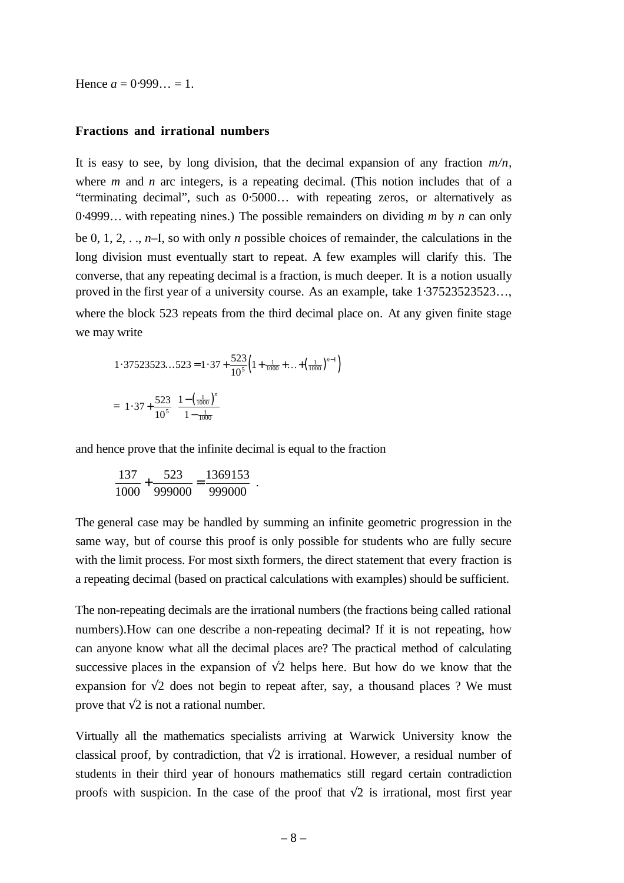Hence  $a = 0.999... = 1$ .

#### **Fractions and irrational numbers**

It is easy to see, by long division, that the decimal expansion of any fraction  $m/n$ , where *m* and *n* arc integers, is a repeating decimal. (This notion includes that of a "terminating decimal", such as 0⋅5000… with repeating zeros, or alternatively as 0⋅4999… with repeating nines.) The possible remainders on dividing *m* by *n* can only be 0, 1, 2, . ., *n*–I, so with only *n* possible choices of remainder, the calculations in the long division must eventually start to repeat. A few examples will clarify this. The converse, that any repeating decimal is a fraction, is much deeper. It is a notion usually proved in the first year of a university course. As an example, take 1⋅37523523523..., where the block 523 repeats from the third decimal place on. At any given finite stage we may write

1.37523523...523 = 1.37 + 
$$
\frac{523}{10^5} \left( 1 + \frac{1}{1000} + \dots + \left( \frac{1}{1000} \right)^{n-1} \right)
$$
  
=  $1.37 + \frac{523}{10^5} \left( \frac{1 - \left( \frac{1}{1000} \right)^n}{1 - \frac{1}{1000}} \right)$ 

and hence prove that the infinite decimal is equal to the fraction

$$
\frac{137}{1000} + \frac{523}{999000} = \frac{1369153}{999000}
$$
.

The general case may be handled by summing an infinite geometric progression in the same way, but of course this proof is only possible for students who are fully secure with the limit process. For most sixth formers, the direct statement that every fraction is a repeating decimal (based on practical calculations with examples) should be sufficient.

The non-repeating decimals are the irrational numbers (the fractions being called rational numbers).How can one describe a non-repeating decimal? If it is not repeating, how can anyone know what all the decimal places are? The practical method of calculating successive places in the expansion of  $\sqrt{2}$  helps here. But how do we know that the expansion for  $\sqrt{2}$  does not begin to repeat after, say, a thousand places ? We must prove that  $\sqrt{2}$  is not a rational number.

Virtually all the mathematics specialists arriving at Warwick University know the classical proof, by contradiction, that  $\sqrt{2}$  is irrational. However, a residual number of students in their third year of honours mathematics still regard certain contradiction proofs with suspicion. In the case of the proof that  $\sqrt{2}$  is irrational, most first year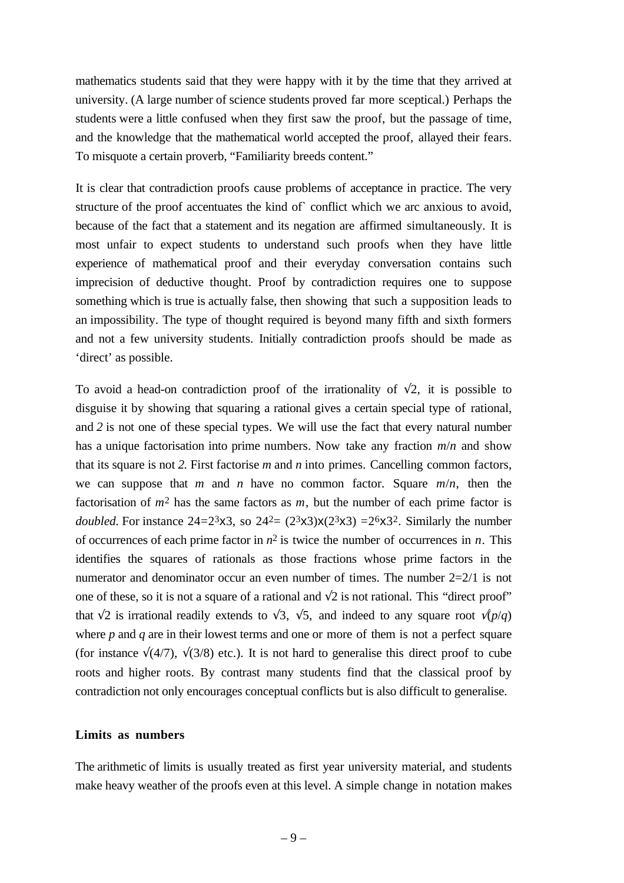mathematics students said that they were happy with it by the time that they arrived at university. (A large number of science students proved far more sceptical.) Perhaps the students were a little confused when they first saw the proof, but the passage of time, and the knowledge that the mathematical world accepted the proof, allayed their fears. To misquote a certain proverb, "Familiarity breeds content."

It is clear that contradiction proofs cause problems of acceptance in practice. The very structure of the proof accentuates the kind of` conflict which we arc anxious to avoid, because of the fact that a statement and its negation are affirmed simultaneously. It is most unfair to expect students to understand such proofs when they have little experience of mathematical proof and their everyday conversation contains such imprecision of deductive thought. Proof by contradiction requires one to suppose something which is true is actually false, then showing that such a supposition leads to an impossibility. The type of thought required is beyond many fifth and sixth formers and not a few university students. Initially contradiction proofs should be made as 'direct' as possible.

To avoid a head-on contradiction proof of the irrationality of  $\sqrt{2}$ , it is possible to disguise it by showing that squaring a rational gives a certain special type of rational, and *2* is not one of these special types. We will use the fact that every natural number has a unique factorisation into prime numbers. Now take any fraction *m*/*n* and show that its square is not *2.* First factorise *m* and *n* into primes. Cancelling common factors, we can suppose that  $m$  and  $n$  have no common factor. Square  $m/n$ , then the factorisation of  $m^2$  has the same factors as  $m$ , but the number of each prime factor is *doubled.* For instance  $24=2^{3}x3$ , so  $24^{2}=(2^{3}x3)x(2^{3}x3)=2^{6}x3^{2}$ . Similarly the number of occurrences of each prime factor in  $n^2$  is twice the number of occurrences in *n*. This identifies the squares of rationals as those fractions whose prime factors in the numerator and denominator occur an even number of times. The number  $2=2/1$  is not one of these, so it is not a square of a rational and  $\sqrt{2}$  is not rational. This "direct proof" that  $\sqrt{2}$  is irrational readily extends to  $\sqrt{3}$ ,  $\sqrt{5}$ , and indeed to any square root  $\sqrt{p/q}$ where *p* and *q* are in their lowest terms and one or more of them is not a perfect square (for instance  $\sqrt{(4/7)}$ ,  $\sqrt{(3/8)}$ ) etc.). It is not hard to generalise this direct proof to cube roots and higher roots. By contrast many students find that the classical proof by contradiction not only encourages conceptual conflicts but is also difficult to generalise.

#### **Limits as numbers**

The arithmetic of limits is usually treated as first year university material, and students make heavy weather of the proofs even at this level. A simple change in notation makes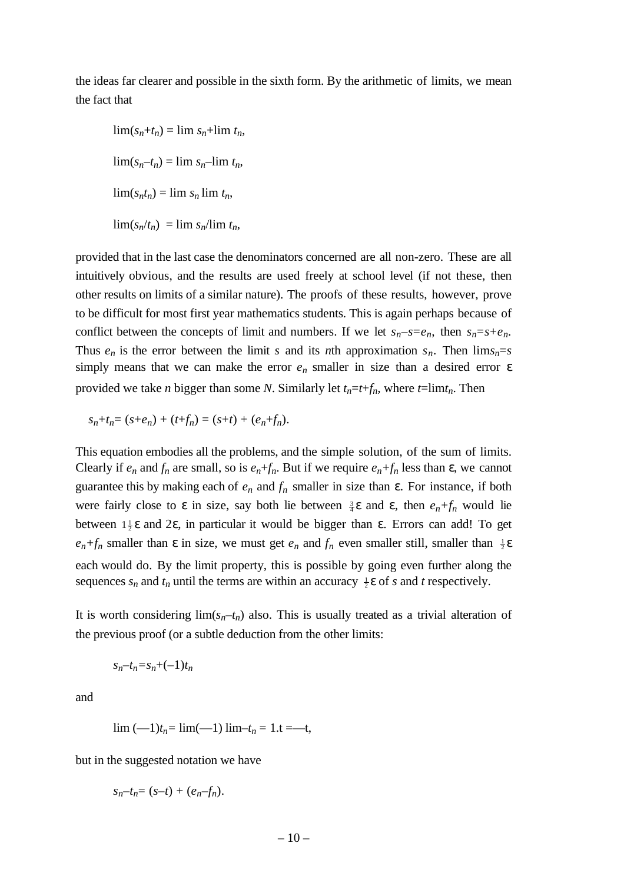the ideas far clearer and possible in the sixth form. By the arithmetic of limits, we mean the fact that

 $\lim(s_n + t_n) = \lim s_n + \lim t_n,$  $\lim(s_n-t_n)=\lim s_n-\lim t_n,$  $\lim(s_n t_n) = \lim s_n \lim t_n$  $\lim(s_n/t_n) = \lim s_n/\lim t_n$ ,

provided that in the last case the denominators concerned are all non-zero. These are all intuitively obvious, and the results are used freely at school level (if not these, then other results on limits of a similar nature). The proofs of these results, however, prove to be difficult for most first year mathematics students. This is again perhaps because of conflict between the concepts of limit and numbers. If we let  $s_n-s=e_n$ , then  $s_n=s+e_n$ . Thus  $e_n$  is the error between the limit *s* and its *n*th approximation  $s_n$ . Then  $\lim_{n \to \infty} s_n$ simply means that we can make the error  $e_n$  smaller in size than a desired error  $\varepsilon$ provided we take *n* bigger than some *N*. Similarly let  $t_n = t + f_n$ , where  $t = \lim t_n$ . Then

$$
s_n + t_n = (s + e_n) + (t + f_n) = (s + t) + (e_n + f_n).
$$

This equation embodies all the problems, and the simple solution, of the sum of limits. Clearly if  $e_n$  and  $f_n$  are small, so is  $e_n+f_n$ . But if we require  $e_n+f_n$  less than  $\varepsilon$ , we cannot guarantee this by making each of  $e_n$  and  $f_n$  smaller in size than  $\varepsilon$ . For instance, if both were fairly close to  $\varepsilon$  in size, say both lie between  $\frac{3}{4}\varepsilon$  and  $\varepsilon$ , then  $e_n+f_n$  would lie between  $1\frac{1}{2}\epsilon$  and  $2\epsilon$ , in particular it would be bigger than  $\epsilon$ . Errors can add! To get  $e_n + f_n$  smaller than  $\varepsilon$  in size, we must get  $e_n$  and  $f_n$  even smaller still, smaller than  $\frac{1}{2}\varepsilon$ each would do. By the limit property, this is possible by going even further along the sequences  $s_n$  and  $t_n$  until the terms are within an accuracy  $\frac{1}{2}\epsilon$  of *s* and *t* respectively.

It is worth considering  $\lim(s_n-t_n)$  also. This is usually treated as a trivial alteration of the previous proof (or a subtle deduction from the other limits:

$$
s_n-t_n\hspace{-0.1cm}= \hspace{-0.1cm}s_n\hspace{-0.1cm}+\hspace{-0.1cm}(-1)t_n
$$

and

$$
\lim (-1)t_n = \lim (-1) \lim -t_n = 1 \cdot t = -t,
$$

but in the suggested notation we have

$$
s_n - t_n = (s - t) + (e_n - f_n).
$$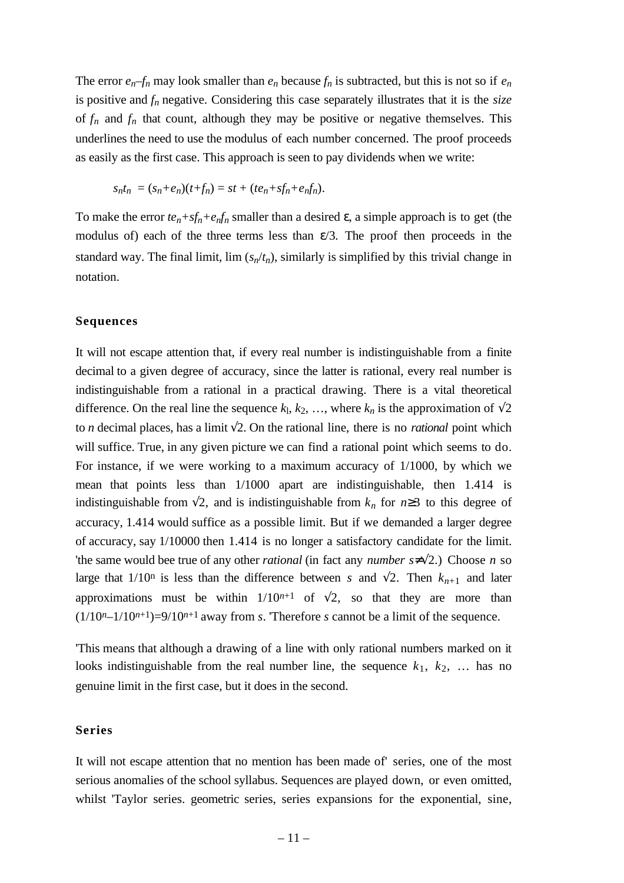The error  $e_n$ – $f_n$  may look smaller than  $e_n$  because  $f_n$  is subtracted, but this is not so if  $e_n$ is positive and *fn* negative. Considering this case separately illustrates that it is the *size* of  $f_n$  and  $f_n$  that count, although they may be positive or negative themselves. This underlines the need to use the modulus of each number concerned. The proof proceeds as easily as the first case. This approach is seen to pay dividends when we write:

$$
s_n t_n = (s_n + e_n)(t + f_n) = st + (te_n + sf_n + e_n f_n).
$$

To make the error  $te_n + sf_n + e_nf_n$  smaller than a desired  $\varepsilon$ , a simple approach is to get (the modulus of) each of the three terms less than  $\varepsilon/3$ . The proof then proceeds in the standard way. The final limit, lim  $(s_n/t_n)$ , similarly is simplified by this trivial change in notation.

#### **Sequences**

It will not escape attention that, if every real number is indistinguishable from a finite decimal to a given degree of accuracy, since the latter is rational, every real number is indistinguishable from a rational in a practical drawing. There is a vital theoretical difference. On the real line the sequence  $k_1, k_2, \ldots$ , where  $k_n$  is the approximation of  $\sqrt{2}$ to *n* decimal places, has a limit  $\sqrt{2}$ . On the rational line, there is no *rational* point which will suffice. True, in any given picture we can find a rational point which seems to do. For instance, if we were working to a maximum accuracy of 1/1000, by which we mean that points less than 1/1000 apart are indistinguishable, then 1.414 is indistinguishable from  $\sqrt{2}$ , and is indistinguishable from  $k_n$  for  $n \geq 3$  to this degree of accuracy, 1.414 would suffice as a possible limit. But if we demanded a larger degree of accuracy, say 1/10000 then 1.414 is no longer a satisfactory candidate for the limit. 'the same would bee true of any other *rational* (in fact any *number s*≠√2.) Choose *n* so large that  $1/10^n$  is less than the difference between *s* and  $\sqrt{2}$ . Then  $k_{n+1}$  and later approximations must be within  $1/10^{n+1}$  of  $\sqrt{2}$ , so that they are more than  $(1/10<sup>n</sup>-1/10<sup>n+1</sup>)=9/10<sup>n+1</sup>$  away from *s*. Therefore *s* cannot be a limit of the sequence.

'This means that although a drawing of a line with only rational numbers marked on it looks indistinguishable from the real number line, the sequence  $k_1, k_2, \ldots$  has no genuine limit in the first case, but it does in the second.

#### **Series**

It will not escape attention that no mention has been made of' series, one of the most serious anomalies of the school syllabus. Sequences are played down, or even omitted, whilst 'Taylor series. geometric series, series expansions for the exponential, sine,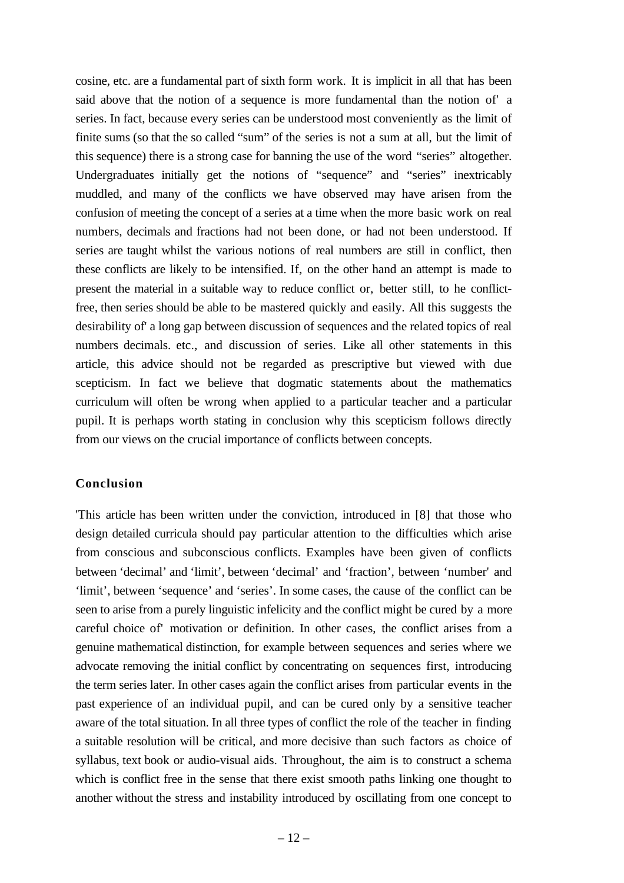cosine, etc. are a fundamental part of sixth form work. It is implicit in all that has been said above that the notion of a sequence is more fundamental than the notion of' a series. In fact, because every series can be understood most conveniently as the limit of finite sums (so that the so called "sum" of the series is not a sum at all, but the limit of this sequence) there is a strong case for banning the use of the word "series" altogether. Undergraduates initially get the notions of "sequence" and "series" inextricably muddled, and many of the conflicts we have observed may have arisen from the confusion of meeting the concept of a series at a time when the more basic work on real numbers, decimals and fractions had not been done, or had not been understood. If series are taught whilst the various notions of real numbers are still in conflict, then these conflicts are likely to be intensified. If, on the other hand an attempt is made to present the material in a suitable way to reduce conflict or, better still, to he conflictfree, then series should be able to be mastered quickly and easily. All this suggests the desirability of' a long gap between discussion of sequences and the related topics of real numbers decimals. etc., and discussion of series. Like all other statements in this article, this advice should not be regarded as prescriptive but viewed with due scepticism. In fact we believe that dogmatic statements about the mathematics curriculum will often be wrong when applied to a particular teacher and a particular pupil. It is perhaps worth stating in conclusion why this scepticism follows directly from our views on the crucial importance of conflicts between concepts.

#### **Conclusion**

'This article has been written under the conviction, introduced in [8] that those who design detailed curricula should pay particular attention to the difficulties which arise from conscious and subconscious conflicts. Examples have been given of conflicts between 'decimal' and 'limit', between 'decimal' and 'fraction', between 'number' and 'limit', between 'sequence' and 'series'. In some cases, the cause of the conflict can be seen to arise from a purely linguistic infelicity and the conflict might be cured by a more careful choice of' motivation or definition. In other cases, the conflict arises from a genuine mathematical distinction, for example between sequences and series where we advocate removing the initial conflict by concentrating on sequences first, introducing the term series later. In other cases again the conflict arises from particular events in the past experience of an individual pupil, and can be cured only by a sensitive teacher aware of the total situation. In all three types of conflict the role of the teacher in finding a suitable resolution will be critical, and more decisive than such factors as choice of syllabus, text book or audio-visual aids. Throughout, the aim is to construct a schema which is conflict free in the sense that there exist smooth paths linking one thought to another without the stress and instability introduced by oscillating from one concept to